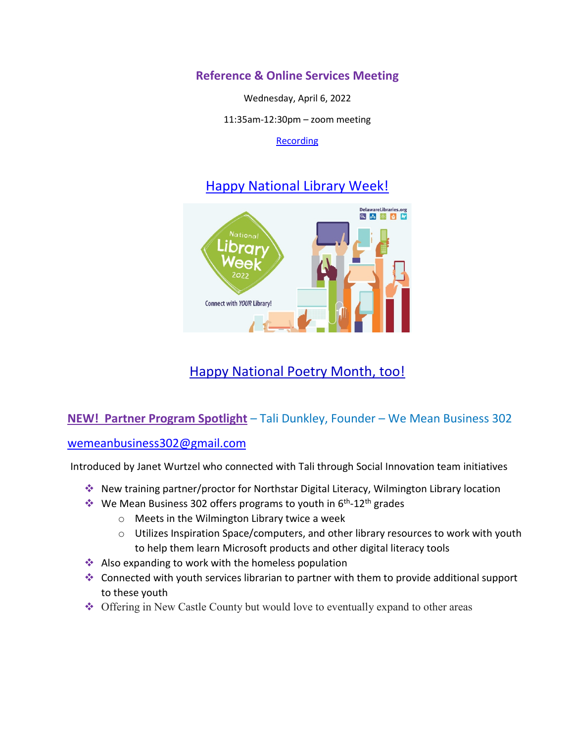## **Reference & Online Services Meeting**

Wednesday, April 6, 2022

11:35am-12:30pm – zoom meeting

[Recording](https://youtu.be/Fh0_5zQkHCM)

# [Happy National Library Week!](https://www.ala.org/conferencesevents/celebrationweeks/natlibraryweek)



# [Happy National Poetry Month, too!](https://poets.org/national-poetry-month)

## **NEW! Partner Program Spotlight** – Tali Dunkley, Founder – We Mean Business 302

#### [wemeanbusiness302@gmail.com](mailto:wemeanbusiness302@gmail.com)

Introduced by Janet Wurtzel who connected with Tali through Social Innovation team initiatives

- New training partner/proctor for Northstar Digital Literacy, Wilmington Library location
- $\cdot$  We Mean Business 302 offers programs to youth in 6<sup>th</sup>-12<sup>th</sup> grades
	- o Meets in the Wilmington Library twice a week
	- o Utilizes Inspiration Space/computers, and other library resources to work with youth to help them learn Microsoft products and other digital literacy tools
- Also expanding to work with the homeless population
- Connected with youth services librarian to partner with them to provide additional support to these youth
- Offering in New Castle County but would love to eventually expand to other areas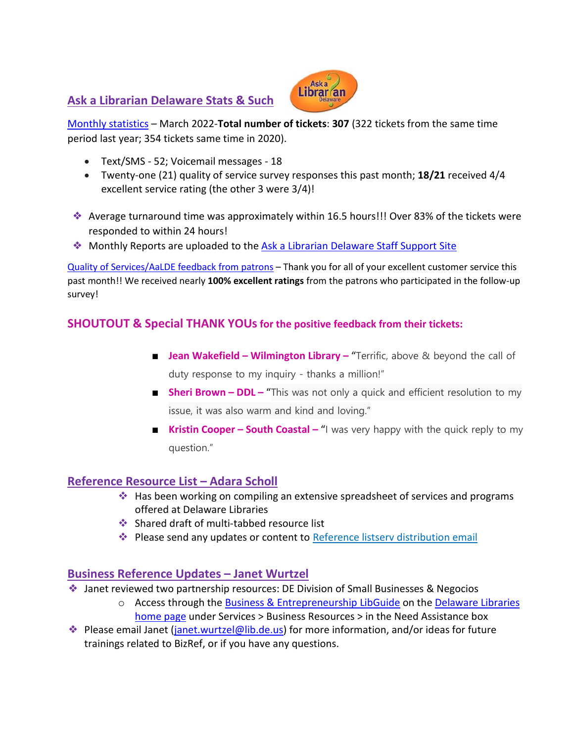### **Ask a Librarian Delaware Stats & Such**



[Monthly statistics](https://aalstaff.lib.de.us/home/reports/fy22-monthly-reports/) – March 2022-**Total number of tickets**: **307** (322 tickets from the same time period last year; 354 tickets same time in 2020).

- Text/SMS 52; Voicemail messages 18
- Twenty-one (21) quality of service survey responses this past month; **18/21** received 4/4 excellent service rating (the other 3 were 3/4)!
- ❖ Average turnaround time was approximately within 16.5 hours!!! Over 83% of the tickets were responded to within 24 hours!
- ❖ Monthly Reports are uploaded to the [Ask a Librarian Delaware](https://aalstaff.lib.de.us/home/reports/fy21-monthly-reports/) Staff Support Site

[Quality of Services/](https://ask.springshare.com/libanswers/faq/2830)AaLDE feedback from patrons – Thank you for all of your excellent customer service this past month!! We received nearly **100% excellent ratings** from the patrons who participated in the follow-up survey!

## **SHOUTOUT & Special THANK YOUs for the positive feedback from their tickets:**

- **Jean Wakefield Wilmington Library –** "Terrific, above & beyond the call of duty response to my inquiry - thanks a million!"
- **Sheri Brown DDL –** "This was not only a quick and efficient resolution to my issue, it was also warm and kind and loving."
- **Kristin Cooper South Coastal "**I was very happy with the quick reply to my question."

#### **Reference Resource List – Adara Scholl**

- $\cdot$  Has been working on compiling an extensive spreadsheet of services and programs offered at Delaware Libraries
- ❖ Shared draft of multi-tabbed resource list
- Please send any updates or content to [Reference listserv distribution email](mailto:reference@listserv.lib.de.us)

#### **Business Reference Updates – Janet Wurtzel**

- ❖ Janet reviewed two partnership resources: DE Division of Small Businesses & Negocios
	- o Access through the [Business & Entrepreneurship LibGuide](https://guides.lib.de.us/business) on the Delaware Libraries [home page](https://lib.de.us/) under Services > Business Resources > in the Need Assistance box
- ❖ Please email Janet [\(janet.wurtzel@lib.de.us\)](mailto:janet.wurtzel@lib.de.us) for more information, and/or ideas for future trainings related to BizRef, or if you have any questions.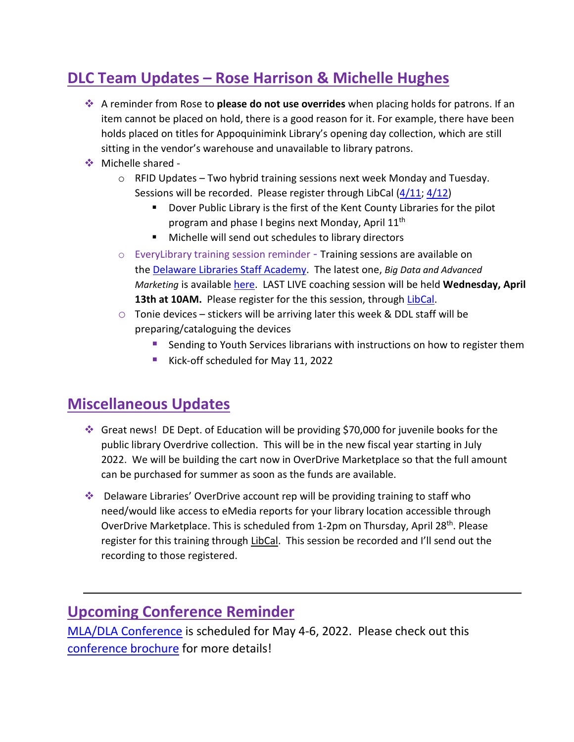# **DLC Team Updates – Rose Harrison & Michelle Hughes**

- A reminder from Rose to **please do not use overrides** when placing holds for patrons. If an item cannot be placed on hold, there is a good reason for it. For example, there have been holds placed on titles for Appoquinimink Library's opening day collection, which are still sitting in the vendor's warehouse and unavailable to library patrons.
- ❖ Michelle shared -
	- $\circ$  RFID Updates Two hybrid training sessions next week Monday and Tuesday. Sessions will be recorded. Please register through LibCal [\(4/11;](https://delawarelibraries.libcal.com/event/9030268) [4/12\)](https://delawarelibraries.libcal.com/event/9030282)
		- Dover Public Library is the first of the Kent County Libraries for the pilot program and phase I begins next Monday, April 11<sup>th</sup>
		- Michelle will send out schedules to library directors
	- $\circ$  EveryLibrary training session reminder Training sessions are available on the [Delaware Libraries Staff Academy.](https://my.nicheacademy.com/delawarelibrariesstaffacademy?category=12469) The latest one, *Big Data and Advanced Marketing* is available [here.](https://my.nicheacademy.com/delawarelibrariesstaffacademy/course/46439) LAST LIVE coaching session will be held **Wednesday, April**  13th at 10AM. Please register for the this session, through [LibCal.](https://delawarelibraries.libcal.com/event/8380764)
	- $\circ$  Tonie devices stickers will be arriving later this week & DDL staff will be preparing/cataloguing the devices
		- Sending to Youth Services librarians with instructions on how to register them
		- Kick-off scheduled for May 11, 2022

# **Miscellaneous Updates**

- Great news! DE Dept. of Education will be providing \$70,000 for juvenile books for the public library Overdrive collection. This will be in the new fiscal year starting in July 2022. We will be building the cart now in OverDrive Marketplace so that the full amount can be purchased for summer as soon as the funds are available.
- Delaware Libraries' OverDrive account rep will be providing training to staff who need/would like access to eMedia reports for your library location accessible through OverDrive Marketplace. This is scheduled from 1-2pm on Thursday, April 28<sup>th</sup>. Please register for this training throug[h LibCal.](https://delawarelibraries.libcal.com/event/9031339) This session be recorded and I'll send out the recording to those registered.

# **Upcoming Conference Reminder**

[MLA/DLA Conference](https://www.mladlacon.com/) is scheduled for May 4-6, 2022. Please check out this [conference brochure](https://www.mdlib.org/Files/docs/conference/MLA-DLA_2022_Conference_FINAL.pdf) for more details!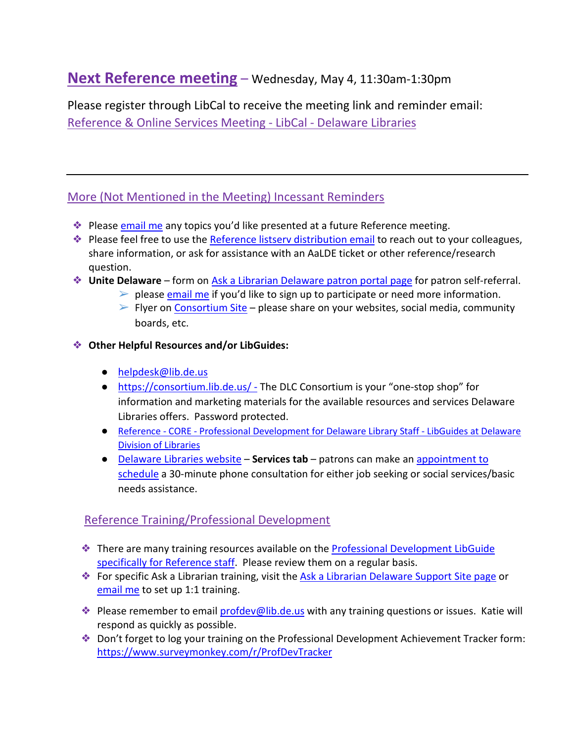# **Next Reference meeting** – Wednesday, May 4, 11:30am-1:30pm

Please register through LibCal to receive the meeting link and reminder email: [Reference & Online Services Meeting -](https://delawarelibraries.libcal.com/event/8770608) LibCal - Delaware Libraries

## More (Not Mentioned in the Meeting) Incessant Reminders

- ◆ Please [email me](mailto:missy.williams@lib.de.us) any topics you'd like presented at a future Reference meeting.
- ◆ Please feel free to use the [Reference listserv distribution email](mailto:reference@listserv.lib.de.us) to reach out to your colleagues, share information, or ask for assistance with an AaLDE ticket or other reference/research question.
- ❖ **Unite Delaware** form on [Ask a Librarian Delaware patron portal page](https://answers.delawarelibraries.org/) for patron self-referral.
	- $\triangleright$  please [email me](mailto:missy.williams@lib.de.us) if you'd like to sign up to participate or need more information.
	- $\triangleright$  Flyer on [Consortium Site](https://consortium.lib.de.us/marketing/) please share on your websites, social media, community boards, etc.

#### ❖ **Other Helpful Resources and/or LibGuides:**

- [helpdesk@lib.de.us](mailto:helpdesk@lib.de.us)
- <https://consortium.lib.de.us/> The DLC Consortium is your "one-stop shop" for information and marketing materials for the available resources and services Delaware Libraries offers. Password protected.
- Reference CORE [Professional Development for Delaware Library Staff -](https://guides.lib.de.us/profdev/refcore) LibGuides at Delaware [Division of Libraries](https://guides.lib.de.us/profdev/refcore)
- [Delaware Libraries website](https://lib.de.us/) **Services tab** patrons can make an [appointment to](https://delawarelibraries.libcal.com/appointments/)  [schedule](https://delawarelibraries.libcal.com/appointments/) a 30-minute phone consultation for either job seeking or social services/basic needs assistance.

#### Reference Training/Professional Development

- ❖ There are many training resources available on the [Professional Development LibGuide](https://guides.lib.de.us/c.php?g=386101&p=2619930)  [specifically for Reference staff.](https://guides.lib.de.us/c.php?g=386101&p=2619930) Please review them on a regular basis.
- ◆ For specific Ask a Librarian training, visit the [Ask a Librarian Delaware Support Site page](https://aalstaff.lib.de.us/all-meetings-trainings/training-tutorials/) or [email me](mailto:missy.williams@lib.de.us) to set up 1:1 training.
- ❖ Please remember to email [profdev@lib.de.us](mailto:profdev@lib.de.us) with any training questions or issues. Katie will respond as quickly as possible.
- ❖ Don't forget to log your training on the Professional Development Achievement Tracker form: <https://www.surveymonkey.com/r/ProfDevTracker>